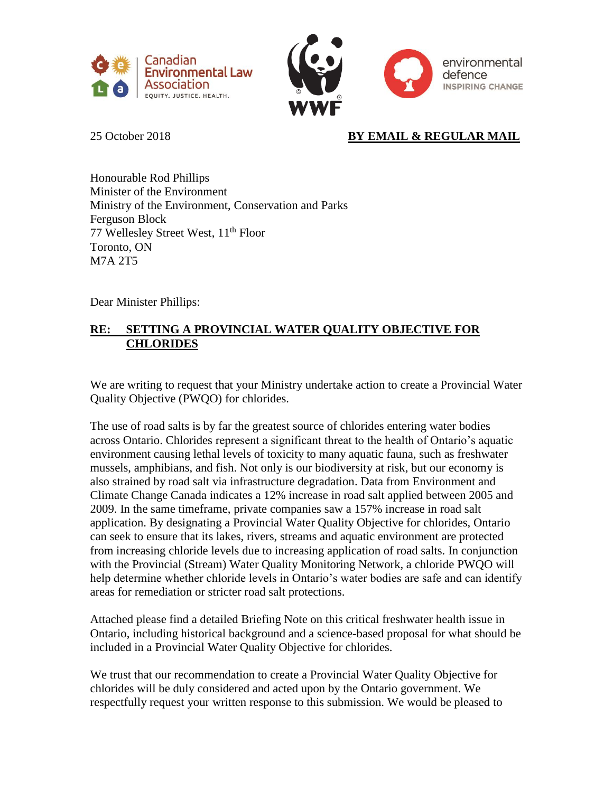



# 25 October 2018 **BY EMAIL & REGULAR MAIL**

Honourable Rod Phillips Minister of the Environment Ministry of the Environment, Conservation and Parks Ferguson Block 77 Wellesley Street West, 11<sup>th</sup> Floor Toronto, ON M7A 2T5

Dear Minister Phillips:

## **RE: SETTING A PROVINCIAL WATER QUALITY OBJECTIVE FOR CHLORIDES**

We are writing to request that your Ministry undertake action to create a Provincial Water Quality Objective (PWQO) for chlorides.

The use of road salts is by far the greatest source of chlorides entering water bodies across Ontario. Chlorides represent a significant threat to the health of Ontario's aquatic environment causing lethal levels of toxicity to many aquatic fauna, such as freshwater mussels, amphibians, and fish. Not only is our biodiversity at risk, but our economy is also strained by road salt via infrastructure degradation. Data from Environment and Climate Change Canada indicates a 12% increase in road salt applied between 2005 and 2009. In the same timeframe, private companies saw a 157% increase in road salt application. By designating a Provincial Water Quality Objective for chlorides, Ontario can seek to ensure that its lakes, rivers, streams and aquatic environment are protected from increasing chloride levels due to increasing application of road salts. In conjunction with the Provincial (Stream) Water Quality Monitoring Network, a chloride PWQO will help determine whether chloride levels in Ontario's water bodies are safe and can identify areas for remediation or stricter road salt protections.

Attached please find a detailed Briefing Note on this critical freshwater health issue in Ontario, including historical background and a science-based proposal for what should be included in a Provincial Water Quality Objective for chlorides.

We trust that our recommendation to create a Provincial Water Quality Objective for chlorides will be duly considered and acted upon by the Ontario government. We respectfully request your written response to this submission. We would be pleased to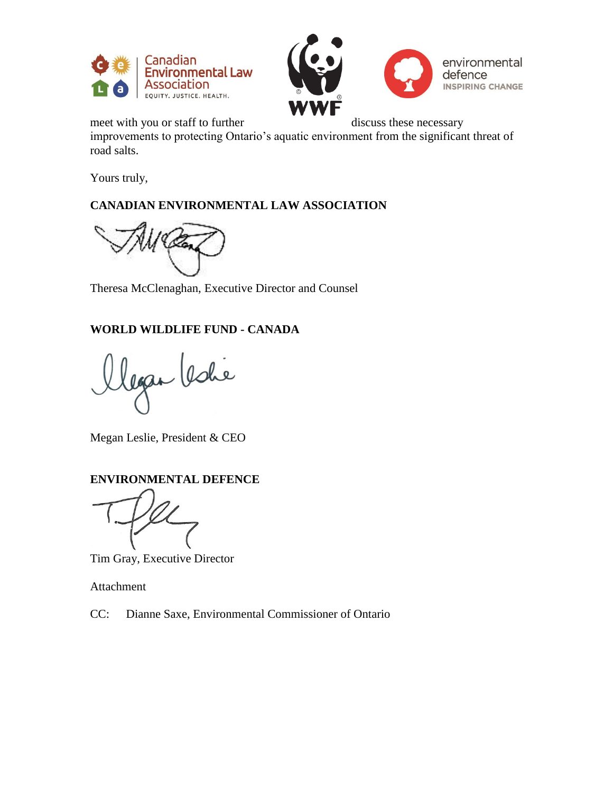



meet with you or staff to further discuss these necessary

improvements to protecting Ontario's aquatic environment from the significant threat of road salts.

Yours truly,

## **CANADIAN ENVIRONMENTAL LAW ASSOCIATION**

Theresa McClenaghan, Executive Director and Counsel

# **WORLD WILDLIFE FUND - CANADA**

legan leshe

Megan Leslie, President & CEO

## **ENVIRONMENTAL DEFENCE**

Tim Gray, Executive Director

Attachment

CC: Dianne Saxe, Environmental Commissioner of Ontario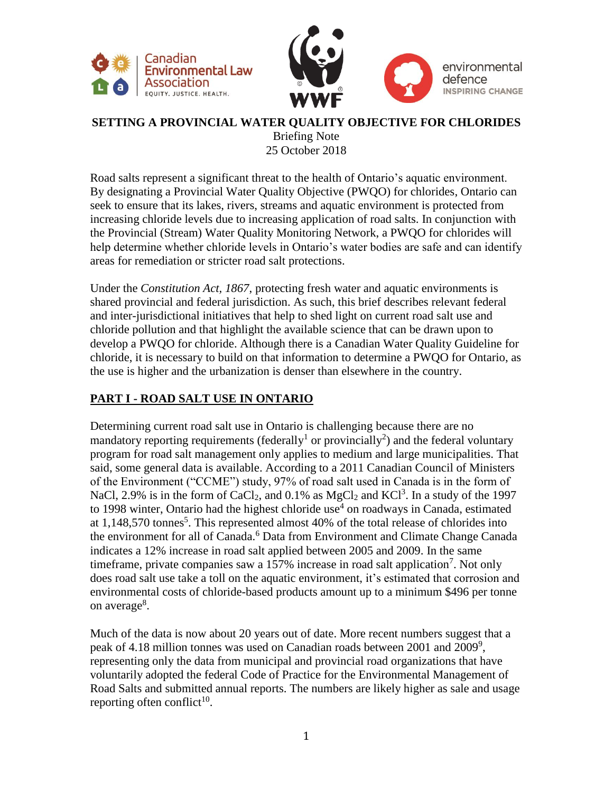



#### **SETTING A PROVINCIAL WATER QUALITY OBJECTIVE FOR CHLORIDES** Briefing Note 25 October 2018

Road salts represent a significant threat to the health of Ontario's aquatic environment. By designating a Provincial Water Quality Objective (PWQO) for chlorides, Ontario can seek to ensure that its lakes, rivers, streams and aquatic environment is protected from increasing chloride levels due to increasing application of road salts. In conjunction with the Provincial (Stream) Water Quality Monitoring Network, a PWQO for chlorides will help determine whether chloride levels in Ontario's water bodies are safe and can identify areas for remediation or stricter road salt protections.

Under the *Constitution Act, 1867*, protecting fresh water and aquatic environments is shared provincial and federal jurisdiction. As such, this brief describes relevant federal and inter-jurisdictional initiatives that help to shed light on current road salt use and chloride pollution and that highlight the available science that can be drawn upon to develop a PWQO for chloride. Although there is a Canadian Water Quality Guideline for chloride, it is necessary to build on that information to determine a PWQO for Ontario, as the use is higher and the urbanization is denser than elsewhere in the country.

#### **PART I - ROAD SALT USE IN ONTARIO**

Determining current road salt use in Ontario is challenging because there are no mandatory reporting requirements (federally<sup>1</sup> or provincially<sup>2</sup>) and the federal voluntary program for road salt management only applies to medium and large municipalities. That said, some general data is available. According to a 2011 Canadian Council of Ministers of the Environment ("CCME") study, 97% of road salt used in Canada is in the form of NaCl, 2.9% is in the form of CaCl<sub>2</sub>, and  $0.1\%$  as MgCl<sub>2</sub> and KCl<sup>3</sup>. In a study of the 1997 to 1998 winter, Ontario had the highest chloride use<sup>4</sup> on roadways in Canada, estimated at 1,148,570 tonnes<sup>5</sup>. This represented almost 40% of the total release of chlorides into the environment for all of Canada.<sup>6</sup> Data from Environment and Climate Change Canada indicates a 12% increase in road salt applied between 2005 and 2009. In the same timeframe, private companies saw a  $157\%$  increase in road salt application<sup>7</sup>. Not only does road salt use take a toll on the aquatic environment, it's estimated that corrosion and environmental costs of chloride-based products amount up to a minimum \$496 per tonne on average<sup>8</sup>.

Much of the data is now about 20 years out of date. More recent numbers suggest that a peak of 4.18 million tonnes was used on Canadian roads between 2001 and 2009<sup>9</sup>, representing only the data from municipal and provincial road organizations that have voluntarily adopted the federal Code of Practice for the Environmental Management of Road Salts and submitted annual reports. The numbers are likely higher as sale and usage reporting often conflict<sup>10</sup>.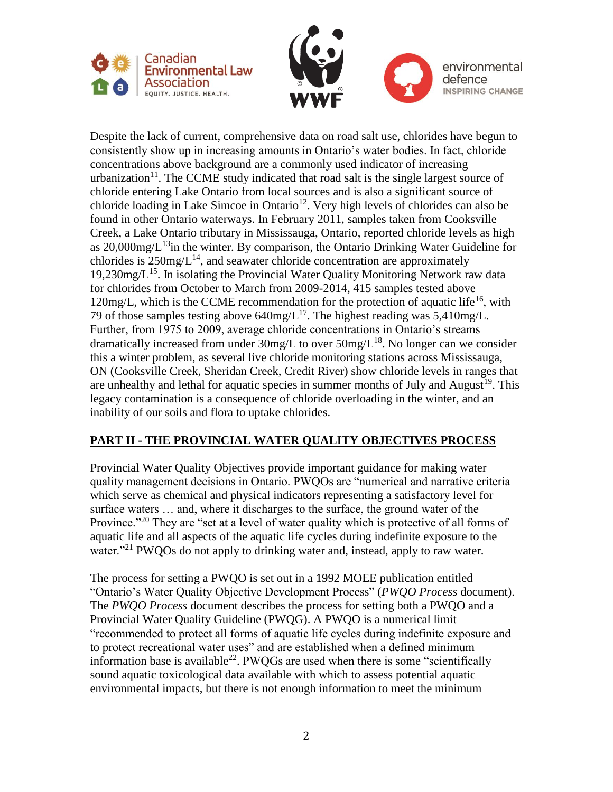



Despite the lack of current, comprehensive data on road salt use, chlorides have begun to consistently show up in increasing amounts in Ontario's water bodies. In fact, chloride concentrations above background are a commonly used indicator of increasing urbanization $11$ . The CCME study indicated that road salt is the single largest source of chloride entering Lake Ontario from local sources and is also a significant source of chloride loading in Lake Simcoe in Ontario<sup>12</sup>. Very high levels of chlorides can also be found in other Ontario waterways. In February 2011, samples taken from Cooksville Creek, a Lake Ontario tributary in Mississauga, Ontario, reported chloride levels as high as  $20,000$ mg/ $L^{13}$ in the winter. By comparison, the Ontario Drinking Water Guideline for chlorides is  $250$ mg/ $L^{14}$ , and seawater chloride concentration are approximately  $19,230$ mg/ $L^{15}$ . In isolating the Provincial Water Quality Monitoring Network raw data for chlorides from October to March from 2009-2014, 415 samples tested above 120mg/L, which is the CCME recommendation for the protection of aquatic life<sup>16</sup>, with 79 of those samples testing above  $640$ mg/L<sup>17</sup>. The highest reading was  $5,410$ mg/L. Further, from 1975 to 2009, average chloride concentrations in Ontario's streams dramatically increased from under  $30$ mg/L to over  $50$ mg/L<sup>18</sup>. No longer can we consider this a winter problem, as several live chloride monitoring stations across Mississauga, ON (Cooksville Creek, Sheridan Creek, Credit River) show chloride levels in ranges that are unhealthy and lethal for aquatic species in summer months of July and August<sup>19</sup>. This legacy contamination is a consequence of chloride overloading in the winter, and an inability of our soils and flora to uptake chlorides.

## **PART II - THE PROVINCIAL WATER QUALITY OBJECTIVES PROCESS**

Provincial Water Quality Objectives provide important guidance for making water quality management decisions in Ontario. PWQOs are "numerical and narrative criteria which serve as chemical and physical indicators representing a satisfactory level for surface waters … and, where it discharges to the surface, the ground water of the Province."<sup>20</sup> They are "set at a level of water quality which is protective of all forms of aquatic life and all aspects of the aquatic life cycles during indefinite exposure to the water."<sup>21</sup> PWQOs do not apply to drinking water and, instead, apply to raw water.

The process for setting a PWQO is set out in a 1992 MOEE publication entitled "Ontario's Water Quality Objective Development Process" (*PWQO Process* document). The *PWQO Process* document describes the process for setting both a PWQO and a Provincial Water Quality Guideline (PWQG). A PWQO is a numerical limit "recommended to protect all forms of aquatic life cycles during indefinite exposure and to protect recreational water uses" and are established when a defined minimum information base is available<sup>22</sup>. PWQGs are used when there is some "scientifically sound aquatic toxicological data available with which to assess potential aquatic environmental impacts, but there is not enough information to meet the minimum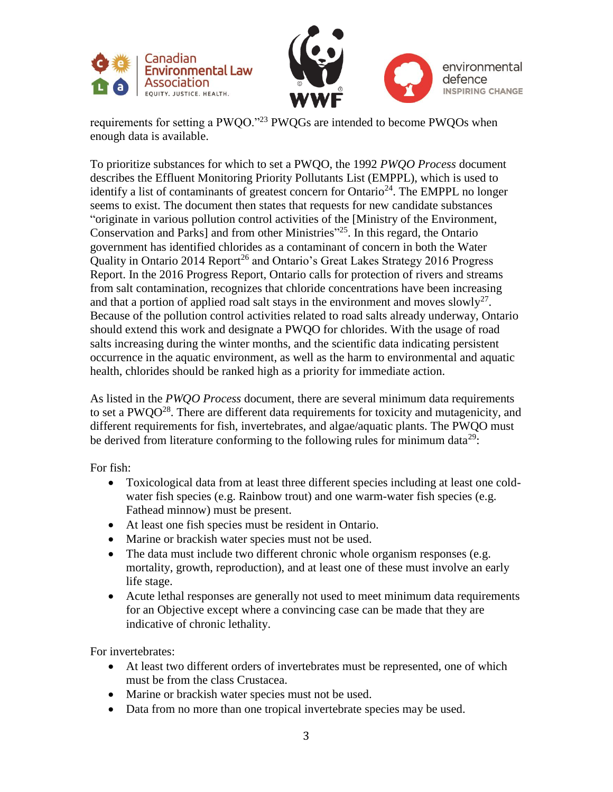



requirements for setting a PWQO."<sup>23</sup> PWQGs are intended to become PWQOs when enough data is available.

To prioritize substances for which to set a PWQO, the 1992 *PWQO Process* document describes the Effluent Monitoring Priority Pollutants List (EMPPL), which is used to identify a list of contaminants of greatest concern for Ontario<sup>24</sup>. The EMPPL no longer seems to exist. The document then states that requests for new candidate substances "originate in various pollution control activities of the [Ministry of the Environment, Conservation and Parks] and from other Ministries<sup>"25</sup>. In this regard, the Ontario government has identified chlorides as a contaminant of concern in both the Water Quality in Ontario 2014 Report<sup>26</sup> and Ontario's Great Lakes Strategy 2016 Progress Report. In the 2016 Progress Report, Ontario calls for protection of rivers and streams from salt contamination, recognizes that chloride concentrations have been increasing and that a portion of applied road salt stays in the environment and moves slowly<sup>27</sup>. Because of the pollution control activities related to road salts already underway, Ontario should extend this work and designate a PWQO for chlorides. With the usage of road salts increasing during the winter months, and the scientific data indicating persistent occurrence in the aquatic environment, as well as the harm to environmental and aquatic health, chlorides should be ranked high as a priority for immediate action.

As listed in the *PWQO Process* document, there are several minimum data requirements to set a PWQO<sup>28</sup>. There are different data requirements for toxicity and mutagenicity, and different requirements for fish, invertebrates, and algae/aquatic plants. The PWQO must be derived from literature conforming to the following rules for minimum data<sup>29</sup>:

For fish:

- Toxicological data from at least three different species including at least one coldwater fish species (e.g. Rainbow trout) and one warm-water fish species (e.g. Fathead minnow) must be present.
- At least one fish species must be resident in Ontario.
- Marine or brackish water species must not be used.
- The data must include two different chronic whole organism responses (e.g. mortality, growth, reproduction), and at least one of these must involve an early life stage.
- Acute lethal responses are generally not used to meet minimum data requirements for an Objective except where a convincing case can be made that they are indicative of chronic lethality.

For invertebrates:

- At least two different orders of invertebrates must be represented, one of which must be from the class Crustacea.
- Marine or brackish water species must not be used.
- Data from no more than one tropical invertebrate species may be used.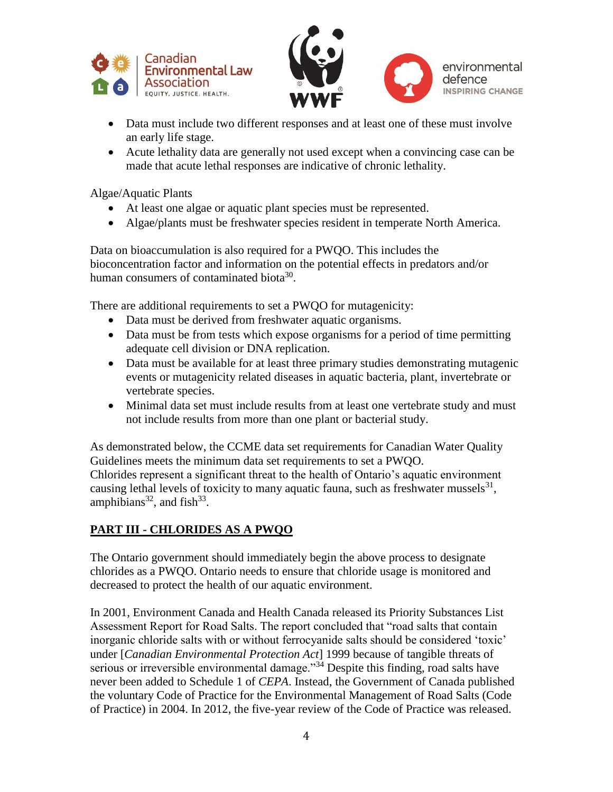



- Data must include two different responses and at least one of these must involve an early life stage.
- Acute lethality data are generally not used except when a convincing case can be made that acute lethal responses are indicative of chronic lethality.

Algae/Aquatic Plants

- At least one algae or aquatic plant species must be represented.
- Algae/plants must be freshwater species resident in temperate North America.

Data on bioaccumulation is also required for a PWQO. This includes the bioconcentration factor and information on the potential effects in predators and/or human consumers of contaminated biota<sup>30</sup>.

There are additional requirements to set a PWQO for mutagenicity:

- Data must be derived from freshwater aquatic organisms.
- Data must be from tests which expose organisms for a period of time permitting adequate cell division or DNA replication.
- Data must be available for at least three primary studies demonstrating mutagenic events or mutagenicity related diseases in aquatic bacteria, plant, invertebrate or vertebrate species.
- Minimal data set must include results from at least one vertebrate study and must not include results from more than one plant or bacterial study.

As demonstrated below, the CCME data set requirements for Canadian Water Quality Guidelines meets the minimum data set requirements to set a PWQO. Chlorides represent a significant threat to the health of Ontario's aquatic environment causing lethal levels of toxicity to many aquatic fauna, such as freshwater mussels $^{31}$ , amphibians<sup>32</sup>, and fish<sup>33</sup>.

#### **PART III - CHLORIDES AS A PWQO**

The Ontario government should immediately begin the above process to designate chlorides as a PWQO. Ontario needs to ensure that chloride usage is monitored and decreased to protect the health of our aquatic environment.

In 2001, Environment Canada and Health Canada released its Priority Substances List Assessment Report for Road Salts. The report concluded that "road salts that contain inorganic chloride salts with or without ferrocyanide salts should be considered 'toxic' under [*Canadian Environmental Protection Act*] 1999 because of tangible threats of serious or irreversible environmental damage."<sup>34</sup> Despite this finding, road salts have never been added to Schedule 1 of *CEPA*. Instead, the Government of Canada published the voluntary Code of Practice for the Environmental Management of Road Salts (Code of Practice) in 2004. In 2012, the five-year review of the Code of Practice was released.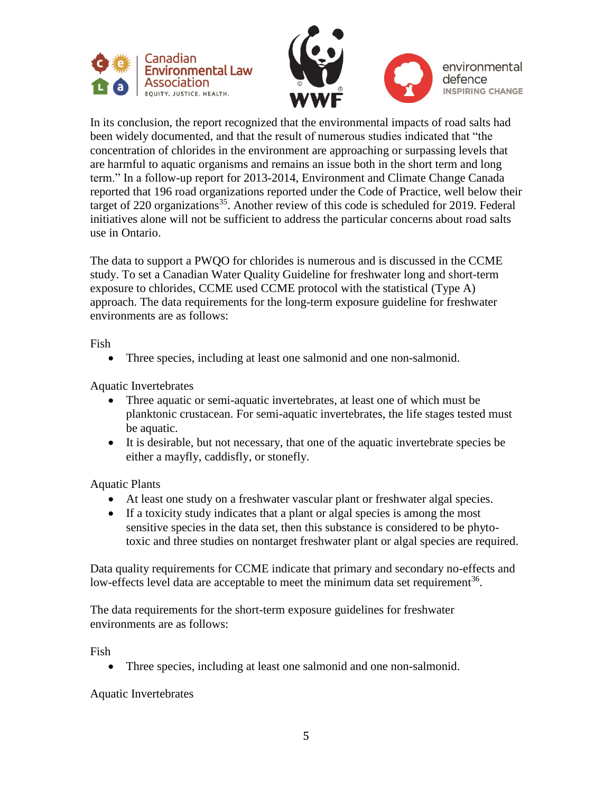



In its conclusion, the report recognized that the environmental impacts of road salts had been widely documented, and that the result of numerous studies indicated that "the concentration of chlorides in the environment are approaching or surpassing levels that are harmful to aquatic organisms and remains an issue both in the short term and long term." In a follow-up report for 2013-2014, Environment and Climate Change Canada reported that 196 road organizations reported under the Code of Practice, well below their target of 220 organizations<sup>35</sup>. Another review of this code is scheduled for 2019. Federal initiatives alone will not be sufficient to address the particular concerns about road salts use in Ontario.

The data to support a PWQO for chlorides is numerous and is discussed in the CCME study. To set a Canadian Water Quality Guideline for freshwater long and short-term exposure to chlorides, CCME used CCME protocol with the statistical (Type A) approach. The data requirements for the long-term exposure guideline for freshwater environments are as follows:

Fish

• Three species, including at least one salmonid and one non-salmonid.

Aquatic Invertebrates

- Three aquatic or semi-aquatic invertebrates, at least one of which must be planktonic crustacean. For semi-aquatic invertebrates, the life stages tested must be aquatic.
- It is desirable, but not necessary, that one of the aquatic invertebrate species be either a mayfly, caddisfly, or stonefly.

Aquatic Plants

- At least one study on a freshwater vascular plant or freshwater algal species.
- If a toxicity study indicates that a plant or algal species is among the most sensitive species in the data set, then this substance is considered to be phytotoxic and three studies on nontarget freshwater plant or algal species are required.

Data quality requirements for CCME indicate that primary and secondary no-effects and low-effects level data are acceptable to meet the minimum data set requirement<sup>36</sup>.

The data requirements for the short-term exposure guidelines for freshwater environments are as follows:

Fish

• Three species, including at least one salmonid and one non-salmonid.

Aquatic Invertebrates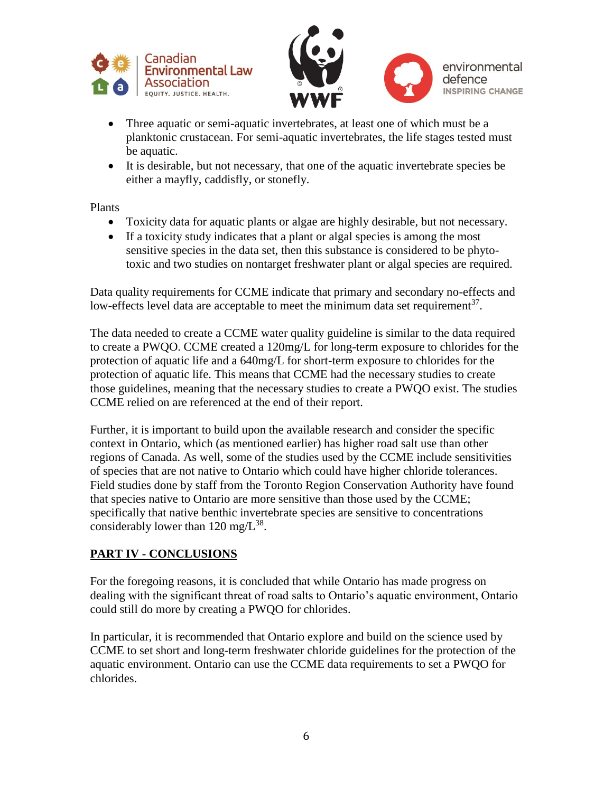



- Three aquatic or semi-aquatic invertebrates, at least one of which must be a planktonic crustacean. For semi-aquatic invertebrates, the life stages tested must be aquatic.
- It is desirable, but not necessary, that one of the aquatic invertebrate species be either a mayfly, caddisfly, or stonefly.

Plants

- Toxicity data for aquatic plants or algae are highly desirable, but not necessary.
- If a toxicity study indicates that a plant or algal species is among the most sensitive species in the data set, then this substance is considered to be phytotoxic and two studies on nontarget freshwater plant or algal species are required.

Data quality requirements for CCME indicate that primary and secondary no-effects and low-effects level data are acceptable to meet the minimum data set requirement<sup>37</sup>.

The data needed to create a CCME water quality guideline is similar to the data required to create a PWQO. CCME created a 120mg/L for long-term exposure to chlorides for the protection of aquatic life and a 640mg/L for short-term exposure to chlorides for the protection of aquatic life. This means that CCME had the necessary studies to create those guidelines, meaning that the necessary studies to create a PWQO exist. The studies CCME relied on are referenced at the end of their report.

Further, it is important to build upon the available research and consider the specific context in Ontario, which (as mentioned earlier) has higher road salt use than other regions of Canada. As well, some of the studies used by the CCME include sensitivities of species that are not native to Ontario which could have higher chloride tolerances. Field studies done by staff from the Toronto Region Conservation Authority have found that species native to Ontario are more sensitive than those used by the CCME; specifically that native benthic invertebrate species are sensitive to concentrations considerably lower than  $120 \text{ mg/L}^{38}$ .

## **PART IV - CONCLUSIONS**

For the foregoing reasons, it is concluded that while Ontario has made progress on dealing with the significant threat of road salts to Ontario's aquatic environment, Ontario could still do more by creating a PWQO for chlorides.

In particular, it is recommended that Ontario explore and build on the science used by CCME to set short and long-term freshwater chloride guidelines for the protection of the aquatic environment. Ontario can use the CCME data requirements to set a PWQO for chlorides.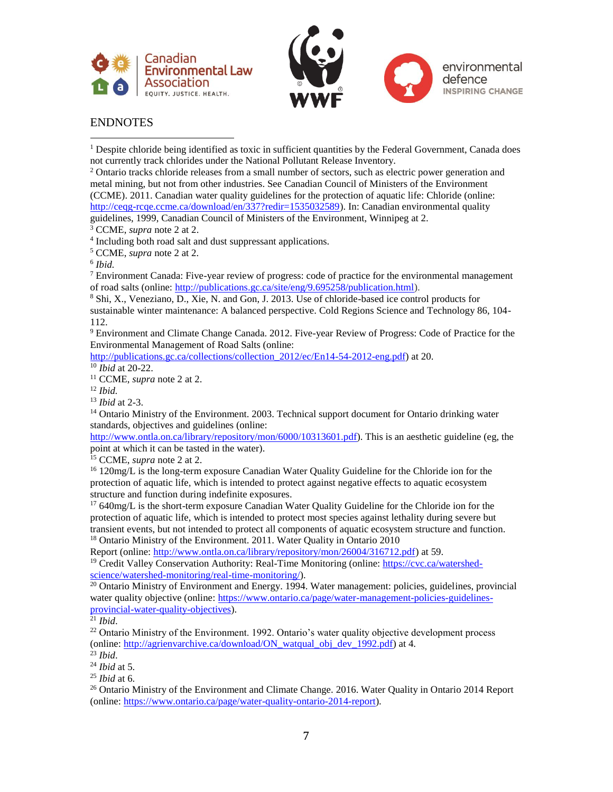



#### ENDNOTES

 $<sup>1</sup>$  Despite chloride being identified as toxic in sufficient quantities by the Federal Government, Canada does</sup> not currently track chlorides under the National Pollutant Release Inventory.

 $2$  Ontario tracks chloride releases from a small number of sectors, such as electric power generation and metal mining, but not from other industries. See Canadian Council of Ministers of the Environment (CCME). 2011. Canadian water quality guidelines for the protection of aquatic life: Chloride (online: [http://ceqg-rcqe.ccme.ca/download/en/337?redir=1535032589\)](http://ceqg-rcqe.ccme.ca/download/en/337?redir=1535032589). In: Canadian environmental quality guidelines, 1999, Canadian Council of Ministers of the Environment, Winnipeg at 2.

<sup>3</sup> CCME, *supra* note 2 at 2.

<sup>4</sup> Including both road salt and dust suppressant applications.

<sup>5</sup> CCME, *supra* note 2 at 2.

6 *Ibid.*

 $<sup>7</sup>$  Environment Canada: Five-year review of progress: code of practice for the environmental management</sup> of road salts (online: [http://publications.gc.ca/site/eng/9.695258/publication.html\)](http://publications.gc.ca/site/eng/9.695258/publication.html).

<sup>8</sup> Shi, X., Veneziano, D., Xie, N. and Gon, J. 2013. Use of chloride-based ice control products for sustainable winter maintenance: A balanced perspective. Cold Regions Science and Technology 86, 104- 112.

<sup>9</sup> Environment and Climate Change Canada. 2012. Five-year Review of Progress: Code of Practice for the Environmental Management of Road Salts (online:

http://publications.gc.ca/collections/collection 2012/ec/En14-54-2012-eng.pdf) at 20.

<sup>10</sup> *Ibid* at 20-22.

<sup>11</sup> CCME, *supra* note 2 at 2.

<sup>12</sup> *Ibid.*

<sup>13</sup> *Ibid* at 2-3.

<sup>14</sup> Ontario Ministry of the Environment. 2003. Technical support document for Ontario drinking water standards, objectives and guidelines (online:

[http://www.ontla.on.ca/library/repository/mon/6000/10313601.pdf\)](http://www.ontla.on.ca/library/repository/mon/6000/10313601.pdf). This is an aesthetic guideline (eg, the point at which it can be tasted in the water).

<sup>15</sup> CCME, *supra* note 2 at 2.

<sup>16</sup> 120mg/L is the long-term exposure Canadian Water Quality Guideline for the Chloride ion for the protection of aquatic life, which is intended to protect against negative effects to aquatic ecosystem structure and function during indefinite exposures.

<sup>17</sup> 640mg/L is the short-term exposure Canadian Water Quality Guideline for the Chloride ion for the protection of aquatic life, which is intended to protect most species against lethality during severe but transient events, but not intended to protect all components of aquatic ecosystem structure and function. <sup>18</sup> Ontario Ministry of the Environment. 2011. Water Quality in Ontario 2010

Report (online: [http://www.ontla.on.ca/library/repository/mon/26004/316712.pdf\)](http://www.ontla.on.ca/library/repository/mon/26004/316712.pdf) at 59.

<sup>19</sup> Credit Valley Conservation Authority: Real-Time Monitoring (online: [https://cvc.ca/watershed](https://cvc.ca/watershed-science/watershed-monitoring/real-time-monitoring/)[science/watershed-monitoring/real-time-monitoring/\)](https://cvc.ca/watershed-science/watershed-monitoring/real-time-monitoring/).

<sup>20</sup> Ontario Ministry of Environment and Energy. 1994. Water management: policies, guidelines, provincial water quality objective (online[: https://www.ontario.ca/page/water-management-policies-guidelines](https://www.ontario.ca/page/water-management-policies-guidelines-provincial-water-quality-objectives)[provincial-water-quality-objectives\)](https://www.ontario.ca/page/water-management-policies-guidelines-provincial-water-quality-objectives).

 $^{21}$  *Ibid.* 

 $22$  Ontario Ministry of the Environment. 1992. Ontario's water quality objective development process (online: [http://agrienvarchive.ca/download/ON\\_watqual\\_obj\\_dev\\_1992.pdf\)](http://agrienvarchive.ca/download/ON_watqual_obj_dev_1992.pdf) at 4.

<sup>23</sup> *Ibid*.

<sup>24</sup> *Ibid* at 5.

<sup>25</sup> *Ibid* at 6.

 $^{26}$  Ontario Ministry of the Environment and Climate Change. 2016. Water Quality in Ontario 2014 Report (online: [https://www.ontario.ca/page/water-quality-ontario-2014-report\)](https://www.ontario.ca/page/water-quality-ontario-2014-report).